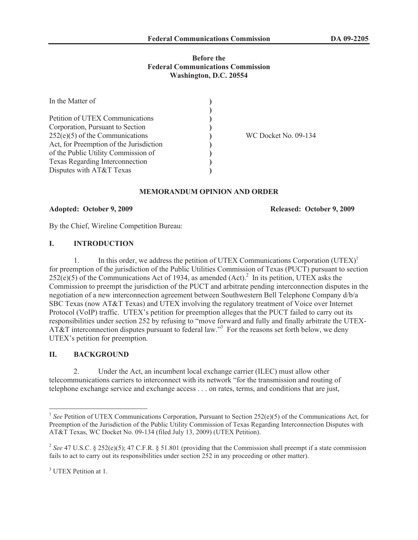## **Before the Federal Communications Commission Washington, D.C. 20554**

| In the Matter of                        |                      |
|-----------------------------------------|----------------------|
|                                         |                      |
| Petition of UTEX Communications         |                      |
| Corporation, Pursuant to Section        |                      |
| $252(e)(5)$ of the Communications       | WC Docket No. 09-134 |
| Act, for Preemption of the Jurisdiction |                      |
| of the Public Utility Commission of     |                      |
| Texas Regarding Interconnection         |                      |
| Disputes with AT&T Texas                |                      |

## **MEMORANDUM OPINION AND ORDER**

#### **Adopted: October 9, 2009 Released: October 9, 2009**

By the Chief, Wireline Competition Bureau:

## **I. INTRODUCTION**

1. In this order, we address the petition of UTEX Communications Corporation (UTEX)<sup>1</sup> for preemption of the jurisdiction of the Public Utilities Commission of Texas (PUCT) pursuant to section  $252(e)(5)$  of the Communications Act of 1934, as amended (Act).<sup>2</sup> In its petition, UTEX asks the Commission to preempt the jurisdiction of the PUCT and arbitrate pending interconnection disputes in the negotiation of a new interconnection agreement between Southwestern Bell Telephone Company d/b/a SBC Texas (now AT&T Texas) and UTEX involving the regulatory treatment of Voice over Internet Protocol (VoIP) traffic. UTEX's petition for preemption alleges that the PUCT failed to carry out its responsibilities under section 252 by refusing to "move forward and fully and finally arbitrate the UTEX-AT&T interconnection disputes pursuant to federal law."<sup>3</sup> For the reasons set forth below, we deny UTEX's petition for preemption.

### **II. BACKGROUND**

2. Under the Act, an incumbent local exchange carrier (ILEC) must allow other telecommunications carriers to interconnect with its network "for the transmission and routing of telephone exchange service and exchange access . . . on rates, terms, and conditions that are just,

<sup>&</sup>lt;sup>1</sup> See Petition of UTEX Communications Corporation, Pursuant to Section 252(e)(5) of the Communications Act, for Preemption of the Jurisdiction of the Public Utility Commission of Texas Regarding Interconnection Disputes with AT&T Texas, WC Docket No. 09-134 (filed July 13, 2009) (UTEX Petition).

<sup>2</sup> *See* 47 U.S.C. § 252(e)(5); 47 C.F.R. § 51.801 (providing that the Commission shall preempt if a state commission fails to act to carry out its responsibilities under section 252 in any proceeding or other matter).

<sup>&</sup>lt;sup>3</sup> UTEX Petition at 1.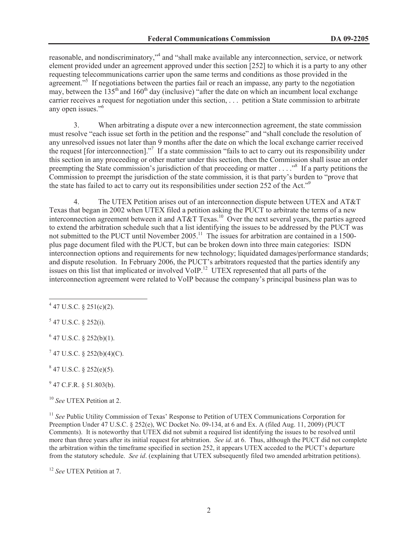reasonable, and nondiscriminatory,"<sup>4</sup> and "shall make available any interconnection, service, or network element provided under an agreement approved under this section [252] to which it is a party to any other requesting telecommunications carrier upon the same terms and conditions as those provided in the agreement."<sup>5</sup> If negotiations between the parties fail or reach an impasse, any party to the negotiation may, between the  $135<sup>th</sup>$  and  $160<sup>th</sup>$  day (inclusive) "after the date on which an incumbent local exchange carrier receives a request for negotiation under this section, . . . petition a State commission to arbitrate any open issues."<sup>6</sup>

3. When arbitrating a dispute over a new interconnection agreement, the state commission must resolve "each issue set forth in the petition and the response" and "shall conclude the resolution of any unresolved issues not later than 9 months after the date on which the local exchange carrier received the request [for interconnection]."<sup>7</sup> If a state commission "fails to act to carry out its responsibility under this section in any proceeding or other matter under this section, then the Commission shall issue an order preempting the State commission's jurisdiction of that proceeding or matter . . . ."<sup>8</sup> If a party petitions the Commission to preempt the jurisdiction of the state commission, it is that party's burden to "prove that the state has failed to act to carry out its responsibilities under section 252 of the Act."<sup>9</sup>

4. The UTEX Petition arises out of an interconnection dispute between UTEX and AT&T Texas that began in 2002 when UTEX filed a petition asking the PUCT to arbitrate the terms of a new interconnection agreement between it and AT&T Texas.<sup>10</sup> Over the next several years, the parties agreed to extend the arbitration schedule such that a list identifying the issues to be addressed by the PUCT was not submitted to the PUCT until November 2005.<sup>11</sup> The issues for arbitration are contained in a 1500plus page document filed with the PUCT, but can be broken down into three main categories: ISDN interconnection options and requirements for new technology; liquidated damages/performance standards; and dispute resolution. In February 2006, the PUCT's arbitrators requested that the parties identify any issues on this list that implicated or involved VoIP.<sup>12</sup> UTEX represented that all parts of the interconnection agreement were related to VoIP because the company's principal business plan was to

 $5$  47 U.S.C. § 252(i).

 $6$  47 U.S.C. § 252(b)(1).

 $7$  47 U.S.C. § 252(b)(4)(C).

 $847$  U.S.C. § 252(e)(5).

 $9$  47 C.F.R. § 51.803(b).

<sup>10</sup> *See* UTEX Petition at 2.

<sup>11</sup> *See* Public Utility Commission of Texas' Response to Petition of UTEX Communications Corporation for Preemption Under 47 U.S.C. § 252(e), WC Docket No. 09-134, at 6 and Ex. A (filed Aug. 11, 2009) (PUCT Comments). It is noteworthy that UTEX did not submit a required list identifying the issues to be resolved until more than three years after its initial request for arbitration. *See id*. at 6. Thus, although the PUCT did not complete the arbitration within the timeframe specified in section 252, it appears UTEX acceded to the PUCT's departure from the statutory schedule. *See id*. (explaining that UTEX subsequently filed two amended arbitration petitions).

<sup>12</sup> *See* UTEX Petition at 7.

 $4$  47 U.S.C. § 251(c)(2).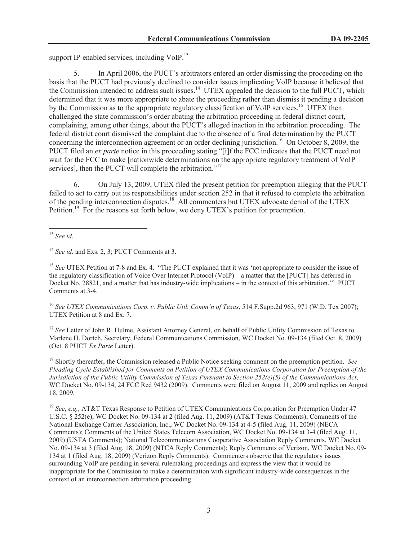support IP-enabled services, including  $VoIP<sup>13</sup>$ 

5. In April 2006, the PUCT's arbitrators entered an order dismissing the proceeding on the basis that the PUCT had previously declined to consider issues implicating VoIP because it believed that the Commission intended to address such issues.<sup>14</sup> UTEX appealed the decision to the full PUCT, which determined that it was more appropriate to abate the proceeding rather than dismiss it pending a decision by the Commission as to the appropriate regulatory classification of VoIP services.<sup>15</sup> UTEX then challenged the state commission's order abating the arbitration proceeding in federal district court, complaining, among other things, about the PUCT's alleged inaction in the arbitration proceeding. The federal district court dismissed the complaint due to the absence of a final determination by the PUCT concerning the interconnection agreement or an order declining jurisdiction.<sup>16</sup> On October 8, 2009, the PUCT filed an *ex parte* notice in this proceeding stating "[i]f the FCC indicates that the PUCT need not wait for the FCC to make [nationwide determinations on the appropriate regulatory treatment of VoIP services], then the PUCT will complete the arbitration."<sup>17</sup>

6. On July 13, 2009, UTEX filed the present petition for preemption alleging that the PUCT failed to act to carry out its responsibilities under section 252 in that it refused to complete the arbitration of the pending interconnection disputes.<sup>18</sup> All commenters but UTEX advocate denial of the UTEX Petition.<sup>19</sup> For the reasons set forth below, we deny UTEX's petition for preemption.

<sup>15</sup> See UTEX Petition at 7-8 and Ex. 4. "The PUCT explained that it was 'not appropriate to consider the issue of the regulatory classification of Voice Over Internet Protocol (VoIP) – a matter that the [PUCT] has deferred in Docket No. 28821, and a matter that has industry-wide implications – in the context of this arbitration.'" PUCT Comments at 3-4.

<sup>16</sup> *See UTEX Communications Corp. v. Public Util. Comm'n of Texas*, 514 F.Supp.2d 963, 971 (W.D. Tex 2007); UTEX Petition at 8 and Ex. 7.

<sup>17</sup> See Letter of John R. Hulme, Assistant Attorney General, on behalf of Public Utility Commission of Texas to Marlene H. Dortch, Secretary, Federal Communications Commission, WC Docket No. 09-134 (filed Oct. 8, 2009) (Oct. 8 PUCT *Ex Parte* Letter).

<sup>18</sup> Shortly thereafter, the Commission released a Public Notice seeking comment on the preemption petition. *See Pleading Cycle Established for Comments on Petition of UTEX Communications Corporation for Preemption of the Jurisdiction of the Public Utility Commission of Texas Pursuant to Section 252(e)(5) of the Communications Act*, WC Docket No. 09-134, 24 FCC Rcd 9432 (2009). Comments were filed on August 11, 2009 and replies on August 18, 2009.

<sup>19</sup> *See*, *e.g.*, AT&T Texas Response to Petition of UTEX Communications Corporation for Preemption Under 47 U.S.C. § 252(e), WC Docket No. 09-134 at 2 (filed Aug. 11, 2009) (AT&T Texas Comments); Comments of the National Exchange Carrier Association, Inc., WC Docket No. 09-134 at 4-5 (filed Aug. 11, 2009) (NECA Comments); Comments of the United States Telecom Association, WC Docket No. 09-134 at 3-4 (filed Aug. 11, 2009) (USTA Comments); National Telecommunications Cooperative Association Reply Comments, WC Docket No. 09-134 at 3 (filed Aug. 18, 2009) (NTCA Reply Comments); Reply Comments of Verizon, WC Docket No. 09- 134 at 1 (filed Aug. 18, 2009) (Verizon Reply Comments). Commenters observe that the regulatory issues surrounding VoIP are pending in several rulemaking proceedings and express the view that it would be inappropriate for the Commission to make a determination with significant industry-wide consequences in the context of an interconnection arbitration proceeding.

<sup>13</sup> *See id*.

<sup>14</sup> *See id*. and Exs. 2, 3; PUCT Comments at 3.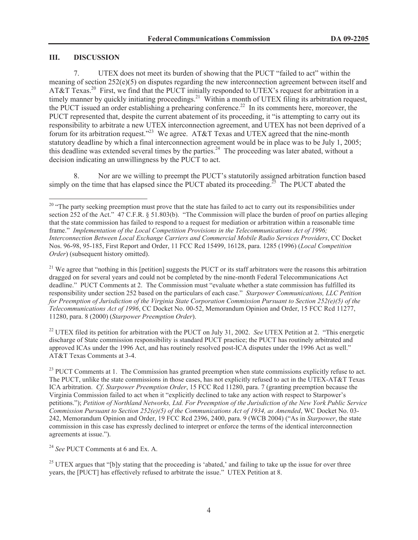# **III. DISCUSSION**

7. UTEX does not meet its burden of showing that the PUCT "failed to act" within the meaning of section 252(e)(5) on disputes regarding the new interconnection agreement between itself and AT&T Texas.<sup>20</sup> First, we find that the PUCT initially responded to UTEX's request for arbitration in a timely manner by quickly initiating proceedings.<sup>21</sup> Within a month of UTEX filing its arbitration request, the PUCT issued an order establishing a prehearing conference.<sup>22</sup> In its comments here, moreover, the PUCT represented that, despite the current abatement of its proceeding, it "is attempting to carry out its responsibility to arbitrate a new UTEX interconnection agreement, and UTEX has not been deprived of a forum for its arbitration request."<sup>23</sup> We agree. AT&T Texas and UTEX agreed that the nine-month statutory deadline by which a final interconnection agreement would be in place was to be July 1, 2005; this deadline was extended several times by the parties.<sup>24</sup> The proceeding was later abated, without a decision indicating an unwillingness by the PUCT to act.

8. Nor are we willing to preempt the PUCT's statutorily assigned arbitration function based simply on the time that has elapsed since the PUCT abated its proceeding.<sup>25</sup> The PUCT abated the

<sup>21</sup> We agree that "nothing in this [petition] suggests the PUCT or its staff arbitrators were the reasons this arbitration dragged on for several years and could not be completed by the nine-month Federal Telecommunications Act deadline." PUCT Comments at 2. The Commission must "evaluate whether a state commission has fulfilled its responsibility under section 252 based on the particulars of each case." *Starpower Communications, LLC Petition for Preemption of Jurisdiction of the Virginia State Corporation Commission Pursuant to Section 252(e)(5) of the Telecommunications Act of 1996*, CC Docket No. 00-52, Memorandum Opinion and Order, 15 FCC Rcd 11277, 11280, para. 8 (2000) (*Starpower Preemption Order*).

<sup>22</sup> UTEX filed its petition for arbitration with the PUCT on July 31, 2002. *See* UTEX Petition at 2. "This energetic discharge of State commission responsibility is standard PUCT practice; the PUCT has routinely arbitrated and approved ICAs under the 1996 Act, and has routinely resolved post-ICA disputes under the 1996 Act as well." AT&T Texas Comments at 3-4.

<sup>23</sup> PUCT Comments at 1. The Commission has granted preemption when state commissions explicitly refuse to act. The PUCT, unlike the state commissions in those cases, has not explicitly refused to act in the UTEX-AT&T Texas ICA arbitration. *Cf*. *Starpower Preemption Order*, 15 FCC Rcd 11280, para. 7 (granting preemption because the Virginia Commission failed to act when it "explicitly declined to take any action with respect to Starpower's petitions."); *Petition of Northland Networks, Ltd. For Preemption of the Jurisdiction of the New York Public Service Commission Pursuant to Section 252(e)(5) of the Communications Act of 1934, as Amended*, WC Docket No. 03- 242, Memorandum Opinion and Order, 19 FCC Rcd 2396, 2400, para. 9 (WCB 2004) ("As in *Starpower*, the state commission in this case has expressly declined to interpret or enforce the terms of the identical interconnection agreements at issue.").

<sup>24</sup> *See* PUCT Comments at 6 and Ex. A.

 $25$  UTEX argues that "[b]y stating that the proceeding is 'abated,' and failing to take up the issue for over three years, the [PUCT] has effectively refused to arbitrate the issue." UTEX Petition at 8.

 $20$  "The party seeking preemption must prove that the state has failed to act to carry out its responsibilities under section 252 of the Act." 47 C.F.R. § 51.803(b). "The Commission will place the burden of proof on parties alleging that the state commission has failed to respond to a request for mediation or arbitration within a reasonable time frame." *Implementation of the Local Competition Provisions in the Telecommunications Act of 1996; Interconnection Between Local Exchange Carriers and Commercial Mobile Radio Services Providers*, CC Docket Nos. 96-98, 95-185, First Report and Order, 11 FCC Rcd 15499, 16128, para. 1285 (1996) (*Local Competition Order*) (subsequent history omitted).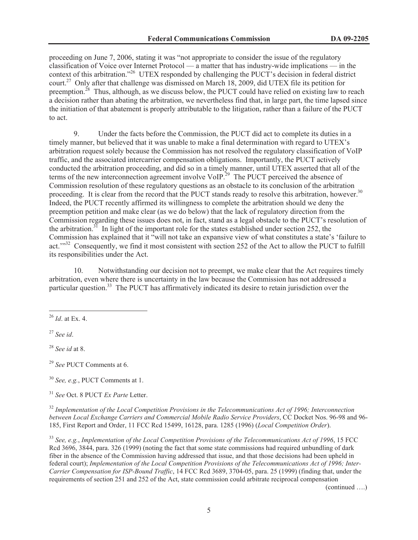proceeding on June 7, 2006, stating it was "not appropriate to consider the issue of the regulatory classification of Voice over Internet Protocol — a matter that has industry-wide implications — in the context of this arbitration."<sup>26</sup> UTEX responded by challenging the PUCT's decision in federal district court.<sup>27</sup> Only after that challenge was dismissed on March 18, 2009, did UTEX file its petition for preemption.<sup>28</sup> Thus, although, as we discuss below, the PUCT could have relied on existing law to reach a decision rather than abating the arbitration, we nevertheless find that, in large part, the time lapsed since the initiation of that abatement is properly attributable to the litigation, rather than a failure of the PUCT to act.

9. Under the facts before the Commission, the PUCT did act to complete its duties in a timely manner, but believed that it was unable to make a final determination with regard to UTEX's arbitration request solely because the Commission has not resolved the regulatory classification of VoIP traffic, and the associated intercarrier compensation obligations. Importantly, the PUCT actively conducted the arbitration proceeding, and did so in a timely manner, until UTEX asserted that all of the terms of the new interconnection agreement involve VoIP.<sup>29</sup> The PUCT perceived the absence of Commission resolution of these regulatory questions as an obstacle to its conclusion of the arbitration proceeding. It is clear from the record that the PUCT stands ready to resolve this arbitration, however.<sup>30</sup> Indeed, the PUCT recently affirmed its willingness to complete the arbitration should we deny the preemption petition and make clear (as we do below) that the lack of regulatory direction from the Commission regarding these issues does not, in fact, stand as a legal obstacle to the PUCT's resolution of the arbitration.<sup>31</sup> In light of the important role for the states established under section 252, the Commission has explained that it "will not take an expansive view of what constitutes a state's 'failure to act.<sup>"32</sup> Consequently, we find it most consistent with section 252 of the Act to allow the PUCT to fulfill its responsibilities under the Act.

10. Notwithstanding our decision not to preempt, we make clear that the Act requires timely arbitration, even where there is uncertainty in the law because the Commission has not addressed a particular question.<sup>33</sup> The PUCT has affirmatively indicated its desire to retain jurisdiction over the

<sup>28</sup> *See id* at 8.

<sup>29</sup> *See* PUCT Comments at 6.

<sup>32</sup> *Implementation of the Local Competition Provisions in the Telecommunications Act of 1996; Interconnection between Local Exchange Carriers and Commercial Mobile Radio Service Providers*, CC Docket Nos. 96-98 and 96- 185, First Report and Order, 11 FCC Rcd 15499, 16128, para. 1285 (1996) (*Local Competition Order*).

<sup>33</sup> *See, e.g.*, *Implementation of the Local Competition Provisions of the Telecommunications Act of 1996*, 15 FCC Rcd 3696, 3844, para. 326 (1999) (noting the fact that some state commissions had required unbundling of dark fiber in the absence of the Commission having addressed that issue, and that those decisions had been upheld in federal court); *Implementation of the Local Competition Provisions of the Telecommunications Act of 1996; Inter-Carrier Compensation for ISP-Bound Traffic*, 14 FCC Rcd 3689, 3704-05, para. 25 (1999) (finding that, under the requirements of section 251 and 252 of the Act, state commission could arbitrate reciprocal compensation

(continued ….)

<sup>26</sup> *Id*. at Ex. 4.

<sup>27</sup> *See id*.

<sup>30</sup> *See, e.g.*, PUCT Comments at 1.

<sup>31</sup> *See* Oct. 8 PUCT *Ex Parte* Letter.